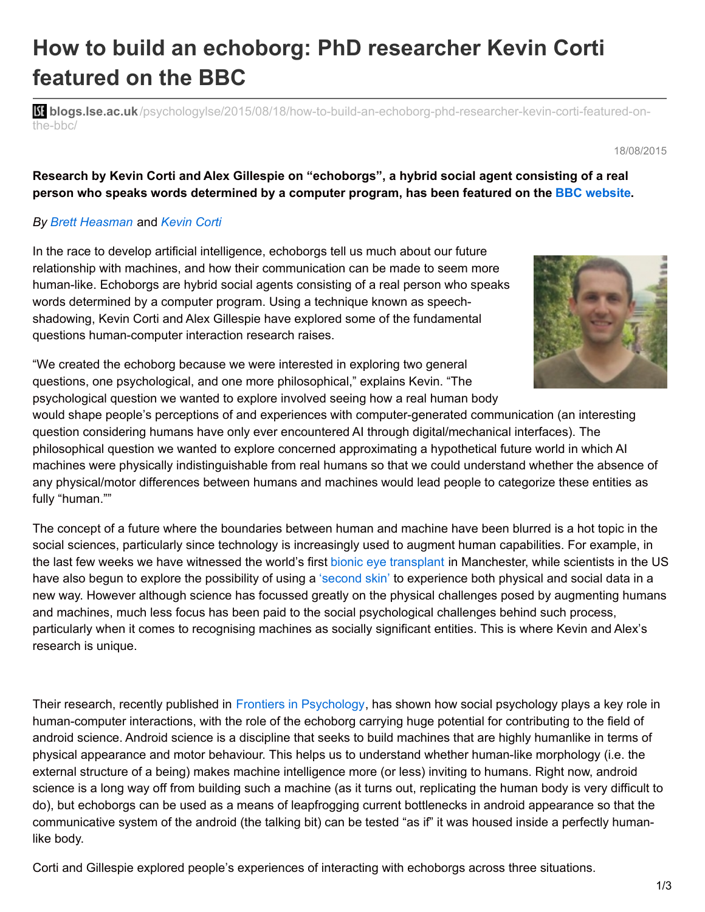# **How to build an echoborg: PhD researcher Kevin Corti featured on the BBC**

**bli blogs.lse.ac.uk**[/psychologylse/2015/08/18/how-to-build-an-echoborg-phd-researcher-kevin-corti-featured-on](http://blogs.lse.ac.uk/psychologylse/2015/08/18/how-to-build-an-echoborg-phd-researcher-kevin-corti-featured-on-the-bbc/)the-bbc/

18/08/2015

**Research by Kevin Corti and Alex Gillespie on "echoborgs", a hybrid social agent consisting of a real person who speaks words determined by a computer program, has been featured on the BBC [website.](http://www.bbc.com/future/story/20150717-the-people-possessed-by-computers)**

### *By Brett [Heasman](https://scholar.google.co.uk/citations?user=HIHGda0AAAAJ&hl=en&oi=ao)* and *[Kevin](https://scholar.google.com/citations?user=JjYo-10AAAAJ&hl=en) Corti*

In the race to develop artificial intelligence, echoborgs tell us much about our future relationship with machines, and how their communication can be made to seem more human-like. Echoborgs are hybrid social agents consisting of a real person who speaks words determined by a computer program. Using a technique known as speechshadowing, Kevin Corti and Alex Gillespie have explored some of the fundamental questions human-computer interaction research raises.



"We created the echoborg because we were interested in exploring two general questions, one psychological, and one more philosophical," explains Kevin. "The psychological question we wanted to explore involved seeing how a real human body

would shape people's perceptions of and experiences with computer-generated communication (an interesting question considering humans have only ever encountered AI through digital/mechanical interfaces). The philosophical question we wanted to explore concerned approximating a hypothetical future world in which AI machines were physically indistinguishable from real humans so that we could understand whether the absence of any physical/motor differences between humans and machines would lead people to categorize these entities as fully "human.""

The concept of a future where the boundaries between human and machine have been blurred is a hot topic in the social sciences, particularly since technology is increasingly used to augment human capabilities. For example, in the last few weeks we have witnessed the world's first bionic eye [transplant](http://www.bbc.co.uk/news/health-33571412) in Manchester, while scientists in the US have also begun to explore the possibility of using a ['second](http://www.ted.com/talks/david_eagleman_can_we_create_new_senses_for_humans?) skin' to experience both physical and social data in a new way. However although science has focussed greatly on the physical challenges posed by augmenting humans and machines, much less focus has been paid to the social psychological challenges behind such process, particularly when it comes to recognising machines as socially significant entities. This is where Kevin and Alex's research is unique.

Their research, recently published in Frontiers in [Psychology](http://journal.frontiersin.org/article/10.3389/fpsyg.2015.00634/abstract), has shown how social psychology plays a key role in human-computer interactions, with the role of the echoborg carrying huge potential for contributing to the field of android science. Android science is a discipline that seeks to build machines that are highly humanlike in terms of physical appearance and motor behaviour. This helps us to understand whether human-like morphology (i.e. the external structure of a being) makes machine intelligence more (or less) inviting to humans. Right now, android science is a long way off from building such a machine (as it turns out, replicating the human body is very difficult to do), but echoborgs can be used as a means of leapfrogging current bottlenecks in android appearance so that the communicative system of the android (the talking bit) can be tested "as if" it was housed inside a perfectly humanlike body.

Corti and Gillespie explored people's experiences of interacting with echoborgs across three situations.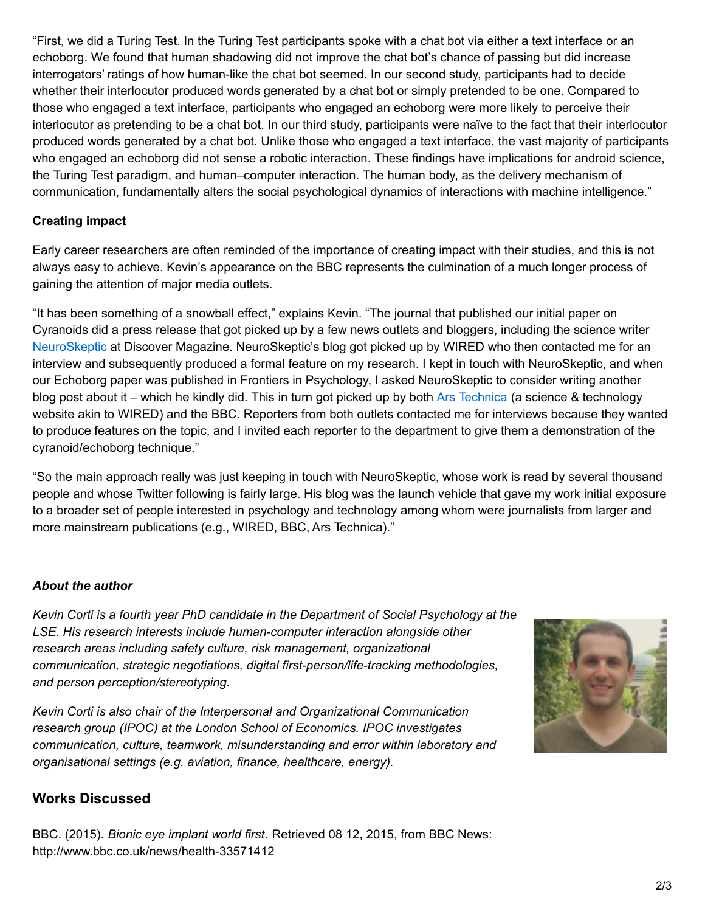"First, we did a Turing Test. In the Turing Test participants spoke with a chat bot via either a text interface or an echoborg. We found that human shadowing did not improve the chat bot's chance of passing but did increase interrogators' ratings of how human-like the chat bot seemed. In our second study, participants had to decide whether their interlocutor produced words generated by a chat bot or simply pretended to be one. Compared to those who engaged a text interface, participants who engaged an echoborg were more likely to perceive their interlocutor as pretending to be a chat bot. In our third study, participants were naïve to the fact that their interlocutor produced words generated by a chat bot. Unlike those who engaged a text interface, the vast majority of participants who engaged an echoborg did not sense a robotic interaction. These findings have implications for android science, the Turing Test paradigm, and human–computer interaction. The human body, as the delivery mechanism of communication, fundamentally alters the social psychological dynamics of interactions with machine intelligence."

### **Creating impact**

Early career researchers are often reminded of the importance of creating impact with their studies, and this is not always easy to achieve. Kevin's appearance on the BBC represents the culmination of a much longer process of gaining the attention of major media outlets.

"It has been something of a snowball effect," explains Kevin. "The journal that published our initial paper on Cyranoids did a press release that got picked up by a few news outlets and bloggers, including the science writer [NeuroSkeptic](https://twitter.com/neuro_skeptic) at Discover Magazine. NeuroSkeptic's blog got picked up by WIRED who then contacted me for an interview and subsequently produced a formal feature on my research. I kept in touch with NeuroSkeptic, and when our Echoborg paper was published in Frontiers in Psychology, I asked NeuroSkeptic to consider writing another blog post about it – which he kindly did. This in turn got picked up by both Ars [Technica](http://arstechnica.com/science/2015/05/human-ai-echoborgs-make-chatbots-more-real-but-still-fail-turing-test/) (a science & technology website akin to WIRED) and the BBC. Reporters from both outlets contacted me for interviews because they wanted to produce features on the topic, and I invited each reporter to the department to give them a demonstration of the cyranoid/echoborg technique."

"So the main approach really was just keeping in touch with NeuroSkeptic, whose work is read by several thousand people and whose Twitter following is fairly large. His blog was the launch vehicle that gave my work initial exposure to a broader set of people interested in psychology and technology among whom were journalists from larger and more mainstream publications (e.g., WIRED, BBC, Ars Technica)."

#### *About the author*

*Kevin Corti is a fourth year PhD candidate in the Department of Social Psychology at the LSE. His research interests include human-computer interaction alongside other research areas including safety culture, risk management, organizational communication, strategic negotiations, digital first-person/life-tracking methodologies, and person perception/stereotyping.*

*Kevin Corti is also chair of the Interpersonal and Organizational Communication research group (IPOC) at the London School of Economics. IPOC investigates communication, culture, teamwork, misunderstanding and error within laboratory and organisational settings (e.g. aviation, finance, healthcare, energy).*

## **Works Discussed**

BBC. (2015). *Bionic eye implant world first*. Retrieved 08 12, 2015, from BBC News: http://www.bbc.co.uk/news/health-33571412